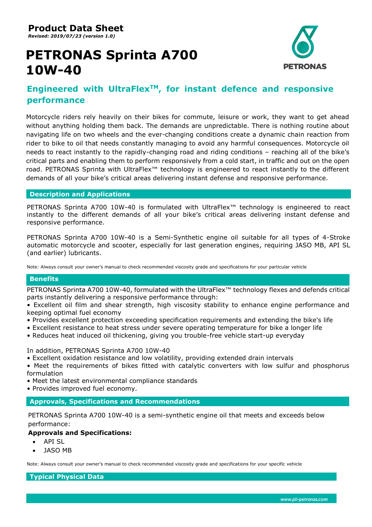**Product Data Sheet**

*Revised: 2019/07/23 (version 1.0)*

# **PETRONAS Sprinta A700 10W-40**



# **Engineered with UltraFlexTM, for instant defence and responsive performance**

Motorcycle riders rely heavily on their bikes for commute, leisure or work, they want to get ahead without anything holding them back. The demands are unpredictable. There is nothing routine about navigating life on two wheels and the ever-changing conditions create a dynamic chain reaction from rider to bike to oil that needs constantly managing to avoid any harmful consequences. Motorcycle oil needs to react instantly to the rapidly-changing road and riding conditions – reaching all of the bike's critical parts and enabling them to perform responsively from a cold start, in traffic and out on the open road. PETRONAS Sprinta with UltraFlex™ technology is engineered to react instantly to the different demands of all your bike's critical areas delivering instant defense and responsive performance.

## **Description and Applications**

PETRONAS Sprinta A700 10W-40 is formulated with UltraFlex<sup>™</sup> technology is engineered to react instantly to the different demands of all your bike's critical areas delivering instant defense and responsive performance.

PETRONAS Sprinta A700 10W-40 is a Semi-Synthetic engine oil suitable for all types of 4-Stroke automatic motorcycle and scooter, especially for last generation engines, requiring JASO MB, API SL (and earlier) lubricants.

Note: Always consult your owner's manual to check recommended viscosity grade and specifications for your particular vehicle

## **Benefits**

PETRONAS Sprinta A700 10W-40, formulated with the UltraFlex<sup>™</sup> technology flexes and defends critical parts instantly delivering a responsive performance through:

• Excellent oil film and shear strength, high viscosity stability to enhance engine performance and keeping optimal fuel economy

- Provides excellent protection exceeding specification requirements and extending the bike's life
- Excellent resistance to heat stress under severe operating temperature for bike a longer life
- Reduces heat induced oil thickening, giving you trouble-free vehicle start-up everyday

In addition, PETRONAS Sprinta A700 10W-40

• Excellent oxidation resistance and low volatility, providing extended drain intervals

• Meet the requirements of bikes fitted with catalytic converters with low sulfur and phosphorus formulation

- Meet the latest environmental compliance standards
- Provides improved fuel economy.

**Approvals, Specifications and Recommendations**

PETRONAS Sprinta A700 10W-40 is a semi-synthetic engine oil that meets and exceeds below performance:

## **Approvals and Specifications:**

- API SL
- JASO MB

Note: Always consult your owner's manual to check recommended viscosity grade and specifications for your specific vehicle

**Typical Physical Data**